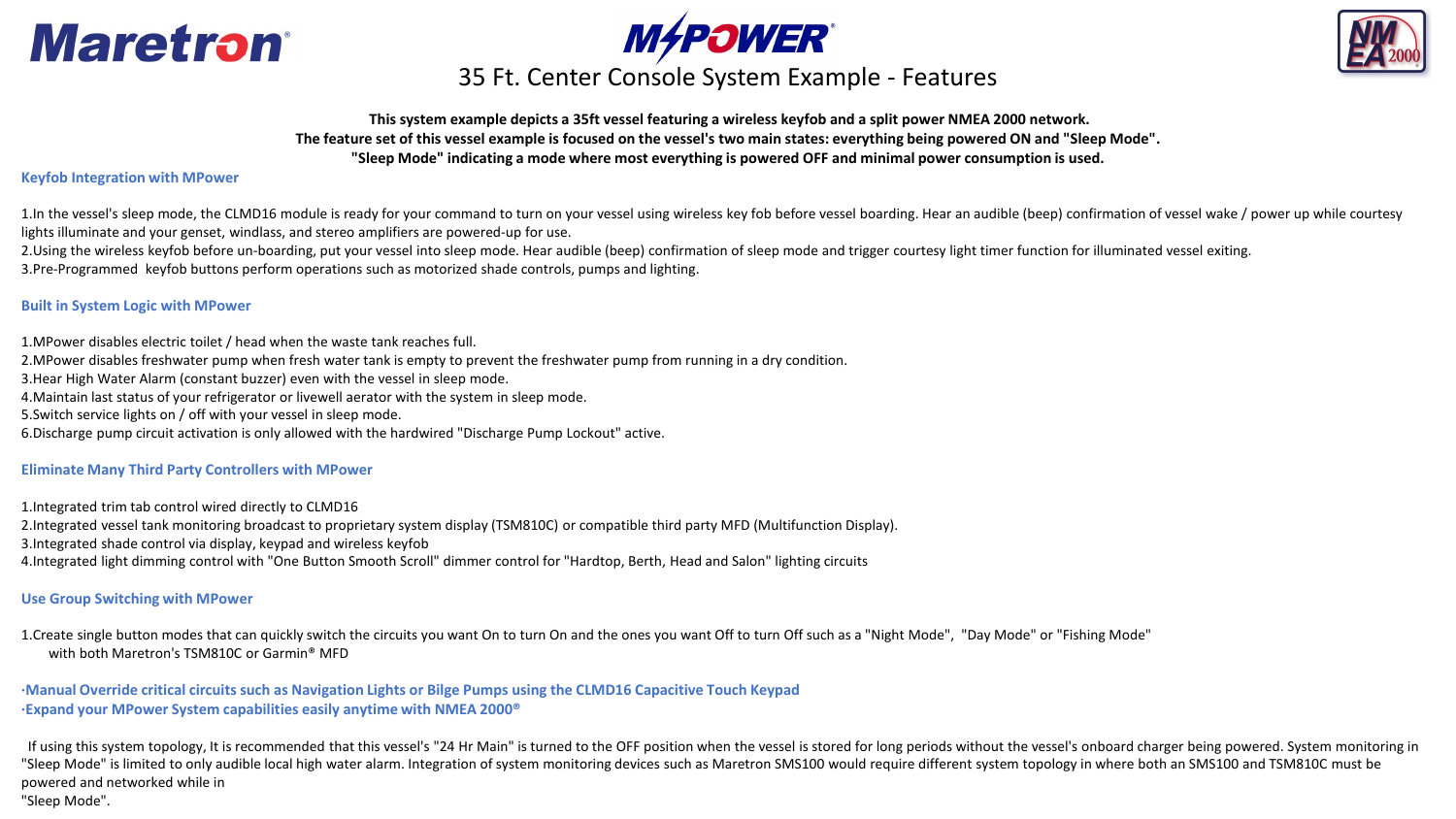





### **MAPOWER**<br>35 Ft. Center Console System Example - Features

### **This system example depicts a 35ft vessel featuring a wireless keyfob and a split power NMEA 2000 network. The feature set of this vessel example is focused on the vessel's two main states: everything being powered ON and "Sleep Mode". "Sleep Mode" indicating a mode where most everything is powered OFF and minimal power consumption is used.**

#### **Keyfob Integration with MPower**

1.In the vessel's sleep mode, the CLMD16 module is ready for your command to turn on your vessel using wireless key fob before vessel boarding. Hear an audible (beep) confirmation of vessel wake / power up while courtesy lights illuminate and your genset, windlass, and stereo amplifiers are powered-up for use.

2.Using the wireless keyfob before un-boarding, put your vessel into sleep mode. Hear audible (beep) confirmation of sleep mode and trigger courtesy light timer function for illuminated vessel exiting. 3.Pre-Programmed keyfob buttons perform operations such as motorized shade controls, pumps and lighting.

### **Built in System Logic with MPower**

1.MPower disables electric toilet / head when the waste tank reaches full.

2.MPower disables freshwater pump when fresh water tank is empty to prevent the freshwater pump from running in a dry condition.

3.Hear High Water Alarm (constant buzzer) even with the vessel in sleep mode.

4.Maintain last status of your refrigerator or livewell aerator with the system in sleep mode.

5.Switch service lights on / off with your vessel in sleep mode.

6.Discharge pump circuit activation is only allowed with the hardwired "Discharge Pump Lockout" active.

#### **Eliminate Many Third Party Controllers with MPower**

1.Integrated trim tab control wired directly to CLMD16 2.Integrated vessel tank monitoring broadcast to proprietary system display (TSM810C) or compatible third party MFD (Multifunction Display). 3.Integrated shade control via display, keypad and wireless keyfob 4.Integrated light dimming control with "One Button Smooth Scroll" dimmer control for "Hardtop, Berth, Head and Salon" lighting circuits

### **Use Group Switching with MPower**

1.Create single button modes that can quickly switch the circuits you want On to turn On and the ones you want Off to turn Off such as a "Night Mode", "Day Mode" or "Fishing Mode" with both Maretron's TSM810C or Garmin® MFD

**·Manual Override critical circuits such as Navigation Lights or Bilge Pumps using the CLMD16 Capacitive Touch Keypad ·Expand your MPower System capabilities easily anytime with NMEA 2000®**

If using this system topology, It is recommended that this vessel's "24 Hr Main" is turned to the OFF position when the vessel is stored for long periods without the vessel's onboard charger being powered. System monitorin "Sleep Mode" is limited to only audible local high water alarm. Integration of system monitoring devices such as Maretron SMS100 would require different system topology in where both an SMS100 and TSM810C must be powered and networked while in "Sleep Mode".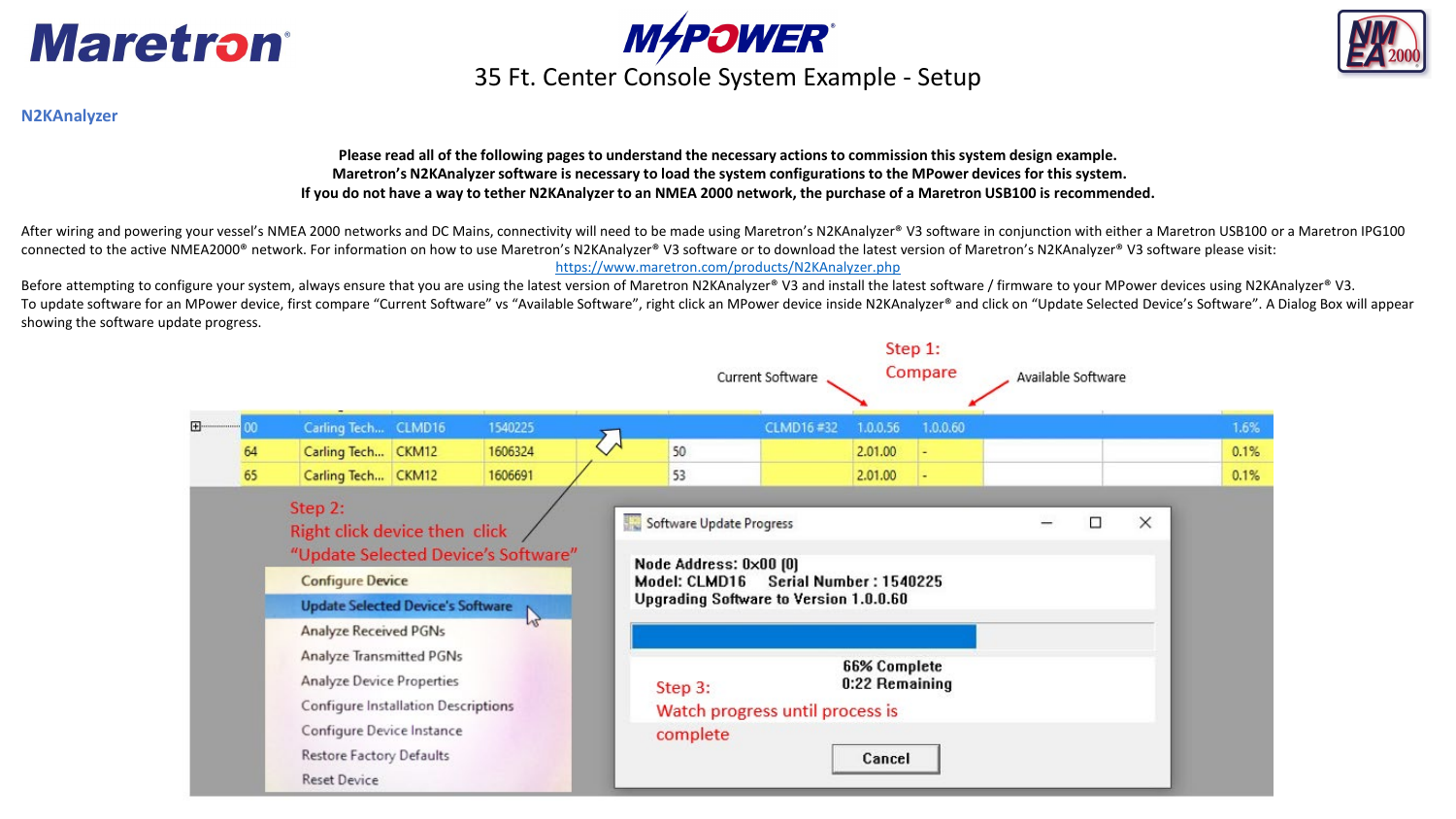



### **N2KAnalyzer**

**Please read all of the following pages to understand the necessary actions to commission this system design example. Maretron's N2KAnalyzer software is necessary to load the system configurations to the MPower devices for this system. If you do not have a way to tether N2KAnalyzer to an NMEA 2000 network, the purchase of a Maretron USB100 is recommended.** 

After wiring and powering your vessel's NMEA 2000 networks and DC Mains, connectivity will need to be made using Maretron's N2KAnalyzer® V3 software in conjunction with either a Maretron USB100 or a Maretron IPG100 connected to the active NMEA2000® network. For information on how to use Maretron's N2KAnalyzer® V3 software or to download the latest version of Maretron's N2KAnalyzer® V3 software please visit: <https://www.maretron.com/products/N2KAnalyzer.php>

Before attempting to configure your system, always ensure that you are using the latest version of Maretron N2KAnalyzer® V3 and install the latest software / firmware to your MPower devices using N2KAnalyzer® V3. To update software for an MPower device, first compare "Current Software" vs "Available Software", right click an MPower device inside N2KAnalyzer® and click on "Update Selected Device's Software". A Dialog Box will appear showing the software update progress.

|   |                                                                                                                                                                                     |                                                                                                                                                 |  |                                                     |  |                                                                     | Current Software                                                 |                                                 | Step 1:<br>Compare | Available Software |   |          |      |
|---|-------------------------------------------------------------------------------------------------------------------------------------------------------------------------------------|-------------------------------------------------------------------------------------------------------------------------------------------------|--|-----------------------------------------------------|--|---------------------------------------------------------------------|------------------------------------------------------------------|-------------------------------------------------|--------------------|--------------------|---|----------|------|
| 田 | OO.                                                                                                                                                                                 | Carling Tech CLMD16                                                                                                                             |  | 1540225                                             |  |                                                                     | CLMD16#32                                                        | 1.0.0.56                                        | 1.0.0.60           |                    |   |          | 1.6% |
|   | 64                                                                                                                                                                                  | Carling Tech CKM12                                                                                                                              |  | 1606324                                             |  | 50                                                                  |                                                                  | 2.01.00                                         |                    |                    |   |          | 0.1% |
|   | 65                                                                                                                                                                                  | Carling Tech CKM12                                                                                                                              |  | 1606691                                             |  | 53                                                                  |                                                                  | 2.01.00                                         |                    |                    |   |          | 0.1% |
|   |                                                                                                                                                                                     | Step 2:<br>Right click device then click<br><b>Configure Device</b><br><b>Update Selected Device's Software</b><br><b>Analyze Received PGNs</b> |  | "Update Selected Device's Software"<br>$\mathbb{Z}$ |  | Software Update Progress<br>Node Address: 0x00 [0]<br>Model: CLMD16 | Serial Number: 1540225<br>Upgrading Software to Version 1.0.0.60 |                                                 |                    |                    | □ | $\times$ |      |
|   | Analyze Transmitted PGNs<br><b>Analyze Device Properties</b><br>Configure Installation Descriptions<br>Configure Device Instance<br>Restore Factory Defaults<br><b>Reset Device</b> |                                                                                                                                                 |  |                                                     |  | Step 3:<br>complete                                                 | Watch progress until process is                                  | <b>66% Complete</b><br>0:22 Remaining<br>Cancel |                    |                    |   |          |      |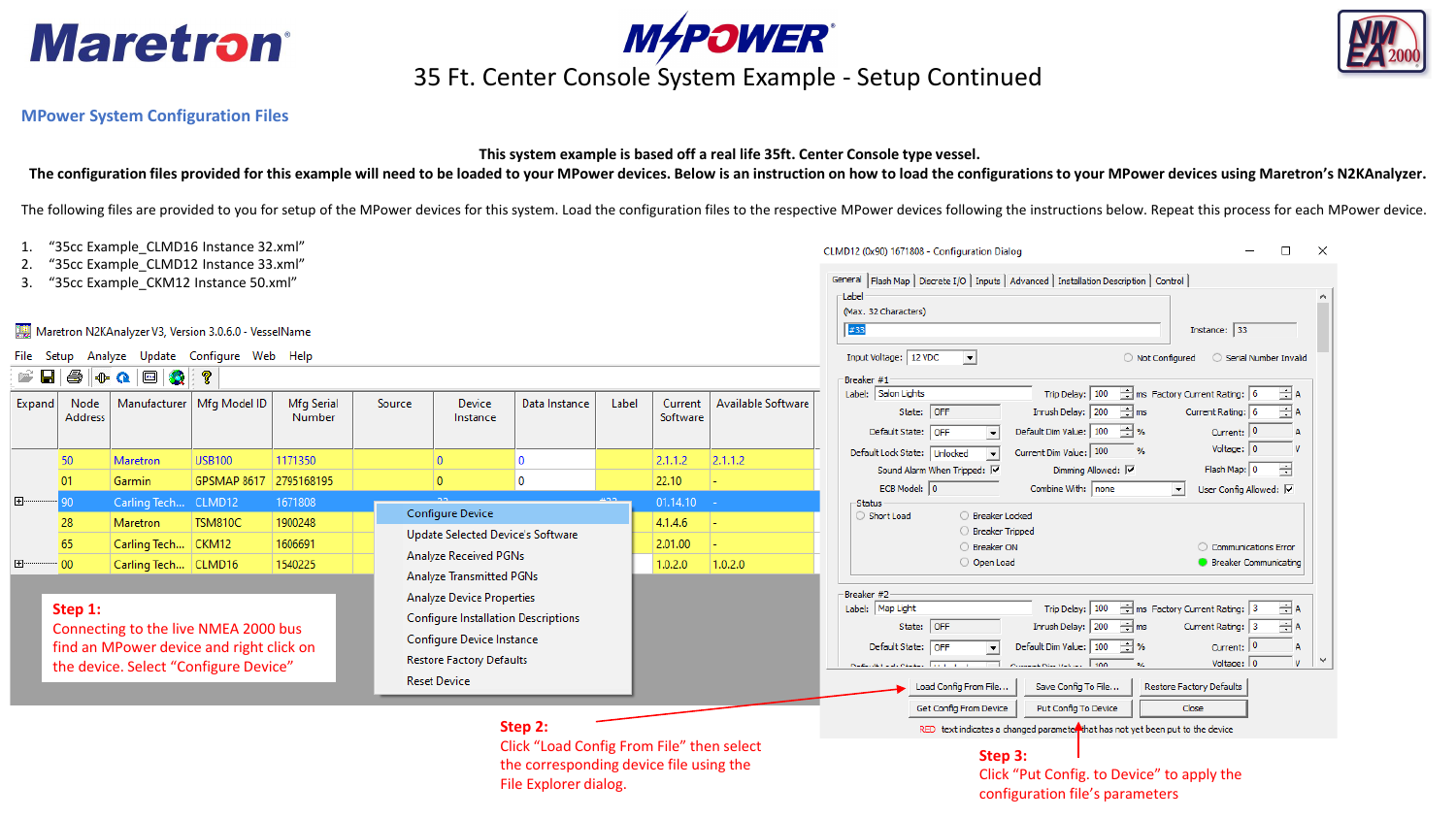





# **MAPOWER**<br>35 Ft. Center Console System Example - Setup Continued

### **MPower System Configuration Files**

### **This system example is based off a real life 35ft. Center Console type vessel.**

**The configuration files provided for this example will need to be loaded to your MPower devices. Below is an instruction on how to load the configurations to your MPower devices using Maretron's N2KAnalyzer.**

The following files are provided to you for setup of the MPower devices for this system. Load the configuration files to the respective MPower devices following the instructions below. Repeat this process for each MPower d

|                                                                                                                                      |                                                                                                                                                                                                                  |                      |  |  |  | $\Box$<br>CLMD12 (0x90) 1671808 - Configuration Dialog |  |  |                                                                               |                                                                                                                                                                                                                                                                                                                                                                                                                                                                                                                                                                                                                                                                                                                                                                                                                                                                                                                                                                                                                                                                                                                                                                                                                                                                                                                                                                                                                                                                                                                                                                                                                                                                                                                                                                                                                                                                                                                                                                                                                                                                                                                                                                                                                                                                                    |  |  |
|--------------------------------------------------------------------------------------------------------------------------------------|------------------------------------------------------------------------------------------------------------------------------------------------------------------------------------------------------------------|----------------------|--|--|--|--------------------------------------------------------|--|--|-------------------------------------------------------------------------------|------------------------------------------------------------------------------------------------------------------------------------------------------------------------------------------------------------------------------------------------------------------------------------------------------------------------------------------------------------------------------------------------------------------------------------------------------------------------------------------------------------------------------------------------------------------------------------------------------------------------------------------------------------------------------------------------------------------------------------------------------------------------------------------------------------------------------------------------------------------------------------------------------------------------------------------------------------------------------------------------------------------------------------------------------------------------------------------------------------------------------------------------------------------------------------------------------------------------------------------------------------------------------------------------------------------------------------------------------------------------------------------------------------------------------------------------------------------------------------------------------------------------------------------------------------------------------------------------------------------------------------------------------------------------------------------------------------------------------------------------------------------------------------------------------------------------------------------------------------------------------------------------------------------------------------------------------------------------------------------------------------------------------------------------------------------------------------------------------------------------------------------------------------------------------------------------------------------------------------------------------------------------------------|--|--|
| 3.                                                                                                                                   | "35cc Example CLMD12 Instance 33.xml"<br>General   Flash Map   Discrete I/O   Inputs   Advanced   Installation Description   Control  <br>"35cc Example CKM12 Instance 50.xml"<br>-Label<br>(Max. 32 Characters) |                      |  |  |  |                                                        |  |  |                                                                               |                                                                                                                                                                                                                                                                                                                                                                                                                                                                                                                                                                                                                                                                                                                                                                                                                                                                                                                                                                                                                                                                                                                                                                                                                                                                                                                                                                                                                                                                                                                                                                                                                                                                                                                                                                                                                                                                                                                                                                                                                                                                                                                                                                                                                                                                                    |  |  |
| Maretron N2KAnalyzer V3, Version 3.0.6.0 - VesselName<br>Analyze Update Configure Web Help<br>File Setup<br>4<br>e H<br>⊕Q回3<br>ୃହ   |                                                                                                                                                                                                                  |                      |  |  |  |                                                        |  |  |                                                                               | "35cc Example CLMD16 Instance 32.xml"<br>$\times$<br>#33<br>Instance: 33<br>Input Voltage: 12 VDC<br>$\vert \cdot \vert$<br>O Not Configured<br>Serial Number Invalid<br>Breaker #1<br>$\Rightarrow$ ms Factory Current Rating: 6<br>Trip Delay: 100<br>Label: Salon Lights<br>$\pm$ A<br>Manufacturer   Mfg Model ID<br>Label<br><b>Available Software</b><br>Mfg Serial<br>Device<br>Data Instance<br>Current<br>Source<br>Inrush Delay: $200 \div$ ms<br>State: OFF<br>Current Rating: 6<br>$\div$ A<br>Number<br>Software<br>Instance<br>Default Dim Value: 100 - %<br>Current: 0<br>Default State: OFF<br>Voltage: $ 0 $<br>Current Dim Value: 100<br>$\frac{9}{6}$<br>Default Lock State: Unlocked<br>1171350<br>2.1.1.2<br><b>USB100</b><br>$\overline{0}$<br>0<br>2.1.1.2<br>곡<br>Flash Map: 0<br>Sound Alarm When Tripped: V<br>Dimming Allowed: V<br>$\pmb{0}$<br>2795168195<br>$\overline{0}$<br>22.10<br>GPSMAP 8617<br>ECB Model: 0<br>Combine With: none<br>User Config Allowed: V<br>$\mathbf{r}$<br>CLMD12<br>1671808<br>01.14.10<br>-Status<br>Configure Device<br>○ Breaker Locked<br>Short Load<br>4.1.4.6<br><b>TSM810C</b><br>1900248<br>○ Breaker Tripped<br>Update Selected Device's Software<br>1606691<br>2.01.00<br>○ Breaker ON<br>C Communications Error<br>Analyze Received PGNs<br>O Open Load<br><b>C</b> Breaker Communicating<br>1540225<br>1.0.2.0<br>1.0.2.0<br>Analyze Transmitted PGNs<br>Breaker #2<br><b>Analyze Device Properties</b><br>$\boxed{\frac{1}{2}}$ ms Factory Current Rating: $\boxed{3}$<br>$\exists$ A<br>Trip Delay: 100<br>Label: Map Light<br><b>Configure Installation Descriptions</b><br>Inrush Delay: 200<br>$\div$ ms<br>$\pm$ A<br>State: OFF<br>Current Rating: 3<br>Configure Device Instance<br>Default Dim Value: 100 - %<br>Current: 0<br>Default State: OFF<br><b>Restore Factory Defaults</b><br>Voltage: 0<br>v<br>Concert Nov Value 100<br>readmitted and readmitted to the con-<br>O/L<br><b>Reset Device</b><br>Save Config To File<br>Restore Factory Defaults<br>Load Config From File<br>Put Config To Device<br>Get Config From Device<br>Close<br>Step 2:<br>RED text indicates a changed parameter that has not yet been put to the device<br>Click "Load Config From File" then select<br>Step 3: |  |  |
| Expand                                                                                                                               | Node<br><b>Address</b>                                                                                                                                                                                           |                      |  |  |  |                                                        |  |  |                                                                               |                                                                                                                                                                                                                                                                                                                                                                                                                                                                                                                                                                                                                                                                                                                                                                                                                                                                                                                                                                                                                                                                                                                                                                                                                                                                                                                                                                                                                                                                                                                                                                                                                                                                                                                                                                                                                                                                                                                                                                                                                                                                                                                                                                                                                                                                                    |  |  |
|                                                                                                                                      | 50                                                                                                                                                                                                               | Maretron             |  |  |  |                                                        |  |  |                                                                               |                                                                                                                                                                                                                                                                                                                                                                                                                                                                                                                                                                                                                                                                                                                                                                                                                                                                                                                                                                                                                                                                                                                                                                                                                                                                                                                                                                                                                                                                                                                                                                                                                                                                                                                                                                                                                                                                                                                                                                                                                                                                                                                                                                                                                                                                                    |  |  |
|                                                                                                                                      | 01                                                                                                                                                                                                               | Garmin               |  |  |  |                                                        |  |  |                                                                               |                                                                                                                                                                                                                                                                                                                                                                                                                                                                                                                                                                                                                                                                                                                                                                                                                                                                                                                                                                                                                                                                                                                                                                                                                                                                                                                                                                                                                                                                                                                                                                                                                                                                                                                                                                                                                                                                                                                                                                                                                                                                                                                                                                                                                                                                                    |  |  |
| E-                                                                                                                                   | 90                                                                                                                                                                                                               | Carling Tech         |  |  |  |                                                        |  |  |                                                                               |                                                                                                                                                                                                                                                                                                                                                                                                                                                                                                                                                                                                                                                                                                                                                                                                                                                                                                                                                                                                                                                                                                                                                                                                                                                                                                                                                                                                                                                                                                                                                                                                                                                                                                                                                                                                                                                                                                                                                                                                                                                                                                                                                                                                                                                                                    |  |  |
|                                                                                                                                      | 28                                                                                                                                                                                                               | Maretron             |  |  |  |                                                        |  |  |                                                                               |                                                                                                                                                                                                                                                                                                                                                                                                                                                                                                                                                                                                                                                                                                                                                                                                                                                                                                                                                                                                                                                                                                                                                                                                                                                                                                                                                                                                                                                                                                                                                                                                                                                                                                                                                                                                                                                                                                                                                                                                                                                                                                                                                                                                                                                                                    |  |  |
|                                                                                                                                      | 65                                                                                                                                                                                                               | Carling Tech   CKM12 |  |  |  |                                                        |  |  |                                                                               |                                                                                                                                                                                                                                                                                                                                                                                                                                                                                                                                                                                                                                                                                                                                                                                                                                                                                                                                                                                                                                                                                                                                                                                                                                                                                                                                                                                                                                                                                                                                                                                                                                                                                                                                                                                                                                                                                                                                                                                                                                                                                                                                                                                                                                                                                    |  |  |
| ∣⊞∙                                                                                                                                  | 00                                                                                                                                                                                                               | Carling Tech CLMD16  |  |  |  |                                                        |  |  |                                                                               |                                                                                                                                                                                                                                                                                                                                                                                                                                                                                                                                                                                                                                                                                                                                                                                                                                                                                                                                                                                                                                                                                                                                                                                                                                                                                                                                                                                                                                                                                                                                                                                                                                                                                                                                                                                                                                                                                                                                                                                                                                                                                                                                                                                                                                                                                    |  |  |
| Step 1:<br>Connecting to the live NMEA 2000 bus<br>find an MPower device and right click on<br>the device. Select "Configure Device" |                                                                                                                                                                                                                  |                      |  |  |  |                                                        |  |  |                                                                               |                                                                                                                                                                                                                                                                                                                                                                                                                                                                                                                                                                                                                                                                                                                                                                                                                                                                                                                                                                                                                                                                                                                                                                                                                                                                                                                                                                                                                                                                                                                                                                                                                                                                                                                                                                                                                                                                                                                                                                                                                                                                                                                                                                                                                                                                                    |  |  |
|                                                                                                                                      | the corresponding device file using the<br>File Explorer dialog.                                                                                                                                                 |                      |  |  |  |                                                        |  |  | Click "Put Config. to Device" to apply the<br>configuration file's parameters |                                                                                                                                                                                                                                                                                                                                                                                                                                                                                                                                                                                                                                                                                                                                                                                                                                                                                                                                                                                                                                                                                                                                                                                                                                                                                                                                                                                                                                                                                                                                                                                                                                                                                                                                                                                                                                                                                                                                                                                                                                                                                                                                                                                                                                                                                    |  |  |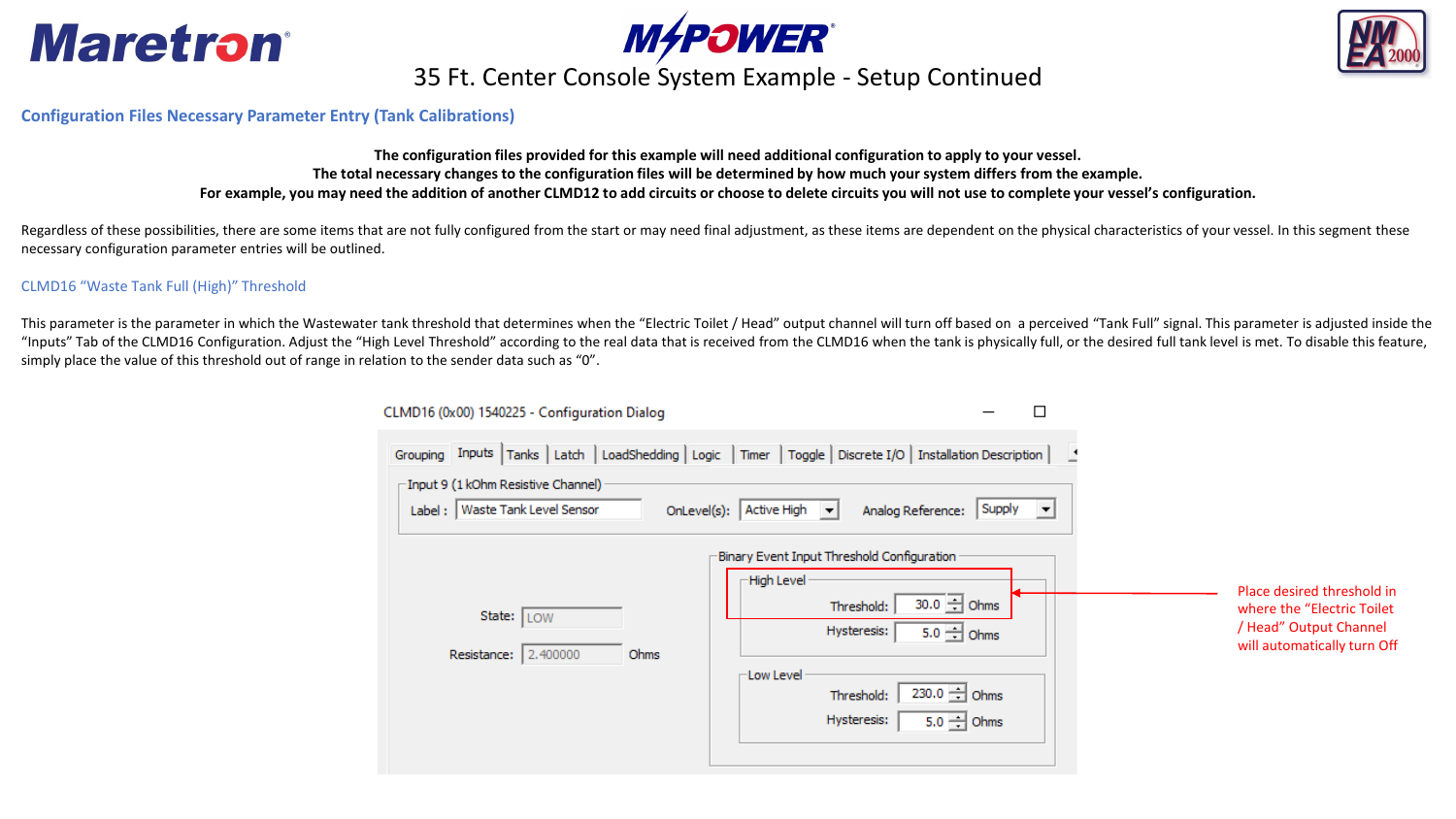





# **MAPOWER**<br>35 Ft. Center Console System Example - Setup Continued

### **Configuration Files Necessary Parameter Entry (Tank Calibrations)**

**The configuration files provided for this example will need additional configuration to apply to your vessel. The total necessary changes to the configuration files will be determined by how much your system differs from the example. For example, you may need the addition of another CLMD12 to add circuits or choose to delete circuits you will not use to complete your vessel's configuration.** 

Regardless of these possibilities, there are some items that are not fully configured from the start or may need final adjustment, as these items are dependent on the physical characteristics of your vessel. In this segmen necessary configuration parameter entries will be outlined.

### CLMD16 "Waste Tank Full (High)" Threshold

This parameter is the parameter in which the Wastewater tank threshold that determines when the "Electric Toilet / Head" output channel will turn off based on a perceived "Tank Full" signal. This parameter is adjusted insi "Inputs" Tab of the CLMD16 Configuration. Adjust the "High Level Threshold" according to the real data that is received from the CLMD16 when the tank is physically full, or the desired full tank level is met. To disable th simply place the value of this threshold out of range in relation to the sender data such as "0".

| CLMD16 (0x00) 1540225 - Configuration Dialog                                               |                                                                                                                                                                   |                                                                                                                                                                                                                    |                                                                                                                    |
|--------------------------------------------------------------------------------------------|-------------------------------------------------------------------------------------------------------------------------------------------------------------------|--------------------------------------------------------------------------------------------------------------------------------------------------------------------------------------------------------------------|--------------------------------------------------------------------------------------------------------------------|
| $\sqsubset$ Input 9 (1 kOhm Resistive Channel) $\cdot$<br>Label:   Waste Tank Level Sensor | Grouping Inputs Tanks   Latch   LoadShedding   Logic   Timer   Toggle   Discrete I/O   Installation Description  <br>OnLevel(s): Active High $\blacktriangledown$ | $\vert$ Supply $\vert \mathbf{v} \vert$<br>Analog Reference:                                                                                                                                                       |                                                                                                                    |
| State: LOW<br>Resistance: 2.400000                                                         | High Level<br>Ohms<br>$\sqsubset$ Low Level                                                                                                                       | Binary Event Input Threshold Configuration<br>$30.0$ $\rightarrow$ Ohms<br>Threshold:<br>Hysteresis:<br>$5.0 - \frac{1}{2}$ Ohms<br>$230.0 - \text{Ohms}$<br>Threshold:<br>$5.0 - \frac{1}{2}$ Ohms<br>Hysteresis: | Place desired threshold in<br>where the "Electric Toilet"<br>/ Head" Output Channel<br>will automatically turn Off |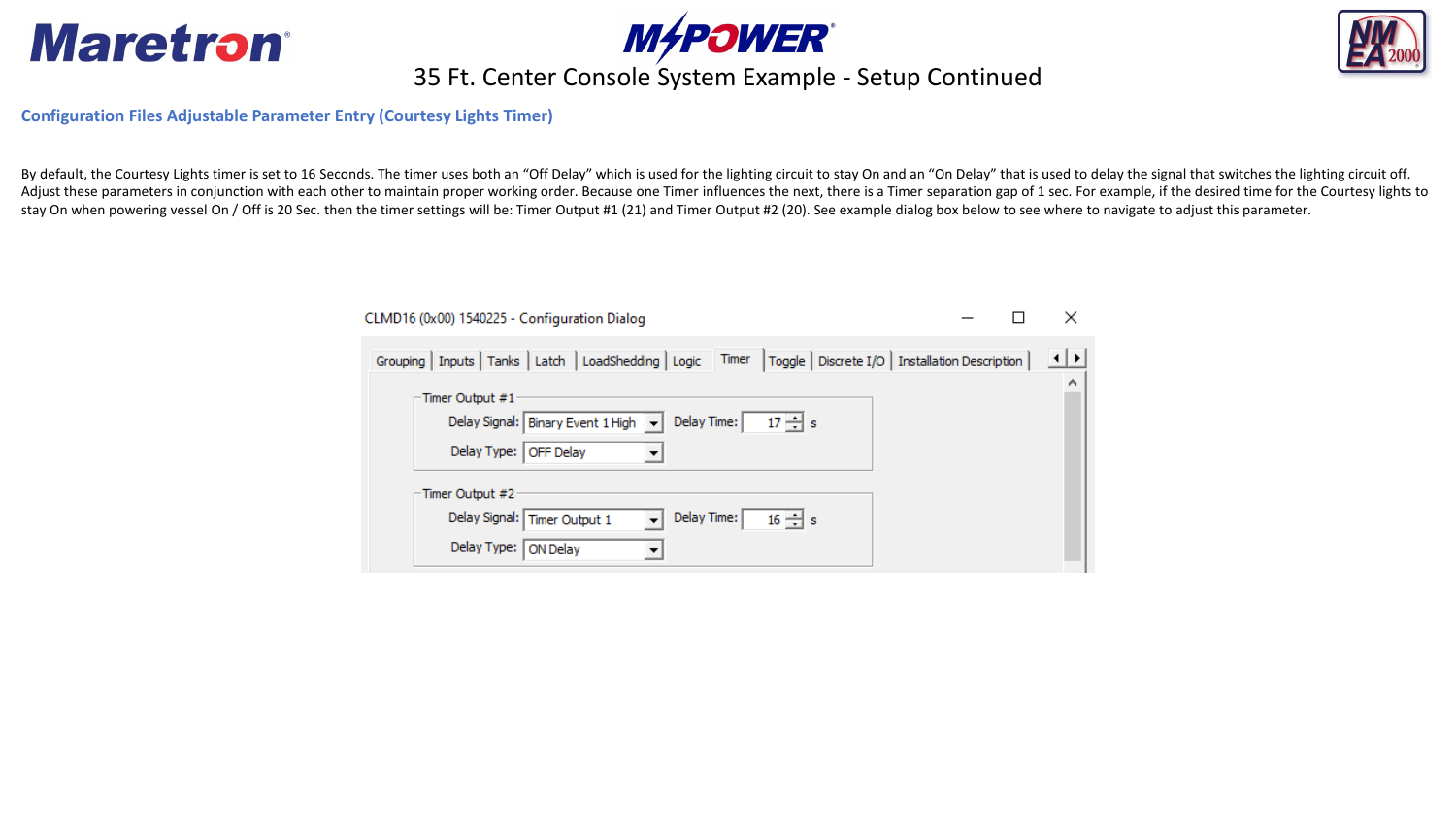





# **MAPOWER**<br>35 Ft. Center Console System Example - Setup Continued

**Configuration Files Adjustable Parameter Entry (Courtesy Lights Timer)**

By default, the Courtesy Lights timer is set to 16 Seconds. The timer uses both an "Off Delay" which is used for the lighting circuit to stay On and an "On Delay" that is used to delay the signal that switches the lighting Adjust these parameters in conjunction with each other to maintain proper working order. Because one Timer influences the next, there is a Timer separation gap of 1 sec. For example, if the desired time for the Courtesy li stay On when powering vessel On / Off is 20 Sec. then the timer settings will be: Timer Output #1 (21) and Timer Output #2 (20). See example dialog box below to see where to navigate to adjust this parameter.

| CLMD16 (0x00) 1540225 - Configuration Dialog                                                                           | ×       |
|------------------------------------------------------------------------------------------------------------------------|---------|
| Grouping   Inputs   Tanks   Latch   LoadShedding   Logic   Timer<br>  Toggle   Discrete I/O   Installation Description | ⊟ +   ⊁ |
| -Timer Output #1<br>Delay Time:<br>Delay Signal:   Binary Event 1 High $\ \mathbf{v}\ $<br>$17 \rightarrow s$          | ∧       |
| Delay Type:   OFF Delay                                                                                                |         |
| -Timer Output #2                                                                                                       |         |
| Delay Signal: Timer Output 1<br>Delay Time:<br>$16 \div s$                                                             |         |
| Delay Type:<br><b>ON Delay</b>                                                                                         |         |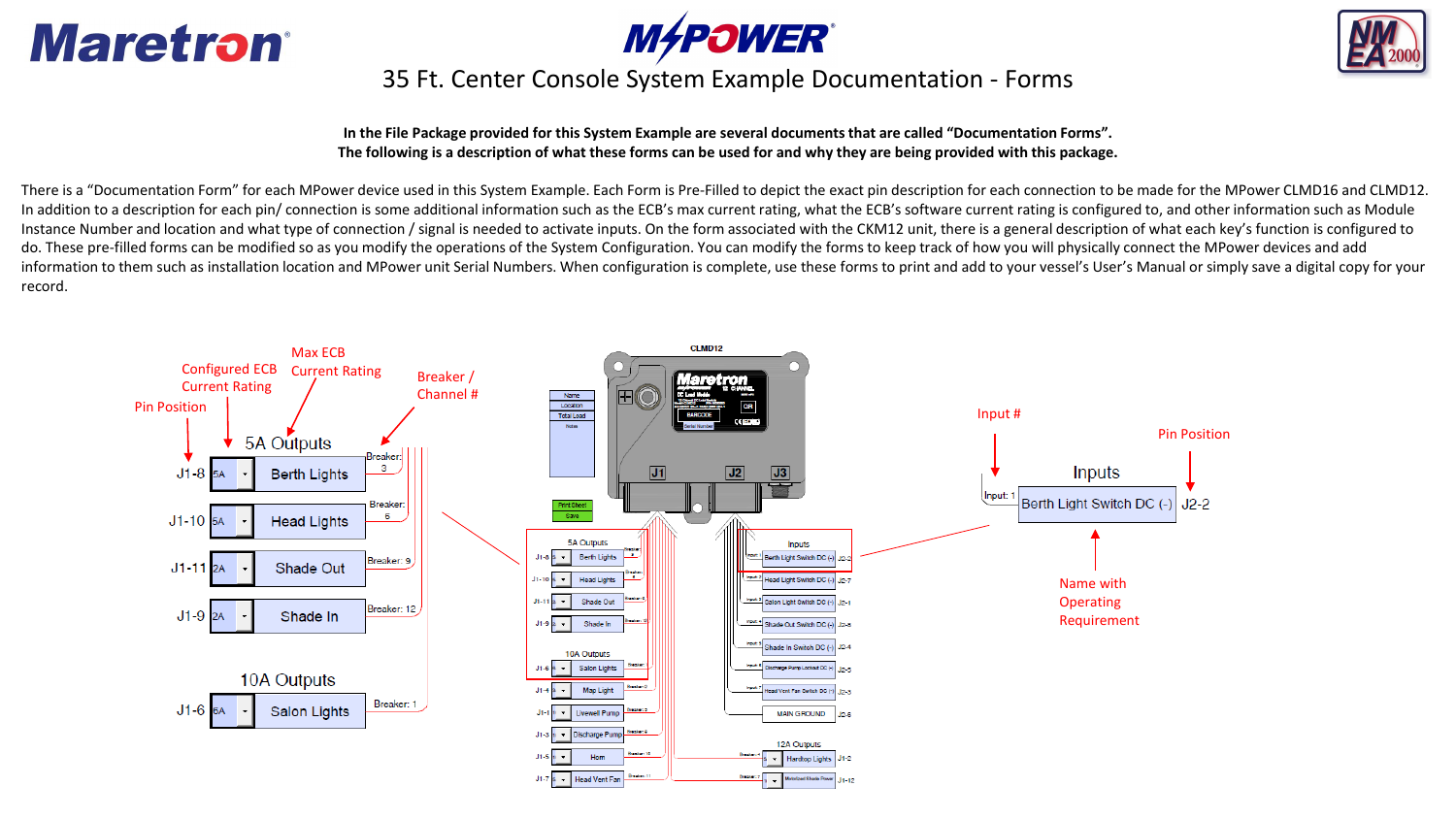





### 35 Ft. Center Console System Example **nDocumentation Forms**

**In the File Package provided for this System Example are several documentsthat are called "Documentation Forms". The following is a description of what these forms can be used for and why they are being provided with this package.**

There is a "Documentation Form" for each MPower device used in this System Example. Each Form is Pre-Filled to depict the exact pin description for each connection to be made for the MPower CLMD16 and CLMD12. In addition to a description for each pin/ connection is some additional information such as the ECB's max current rating, what the ECB's software current rating is configured to, and other information such as Module Instance Number and location and what type of connection / signal is needed to activate inputs. On the form associated with the CKM12 unit, there is a general description of what each key's function is configured to do. These pre-filled forms can be modified so as you modify the operations of the System Configuration. You can modify the forms to keep track of how you will physically connect the MPower devices and add information to them such as installation location and MPower unit Serial Numbers. When configuration is complete, use these forms to print and add to your vessel's User's Manual or simply save a digital copy for your record.

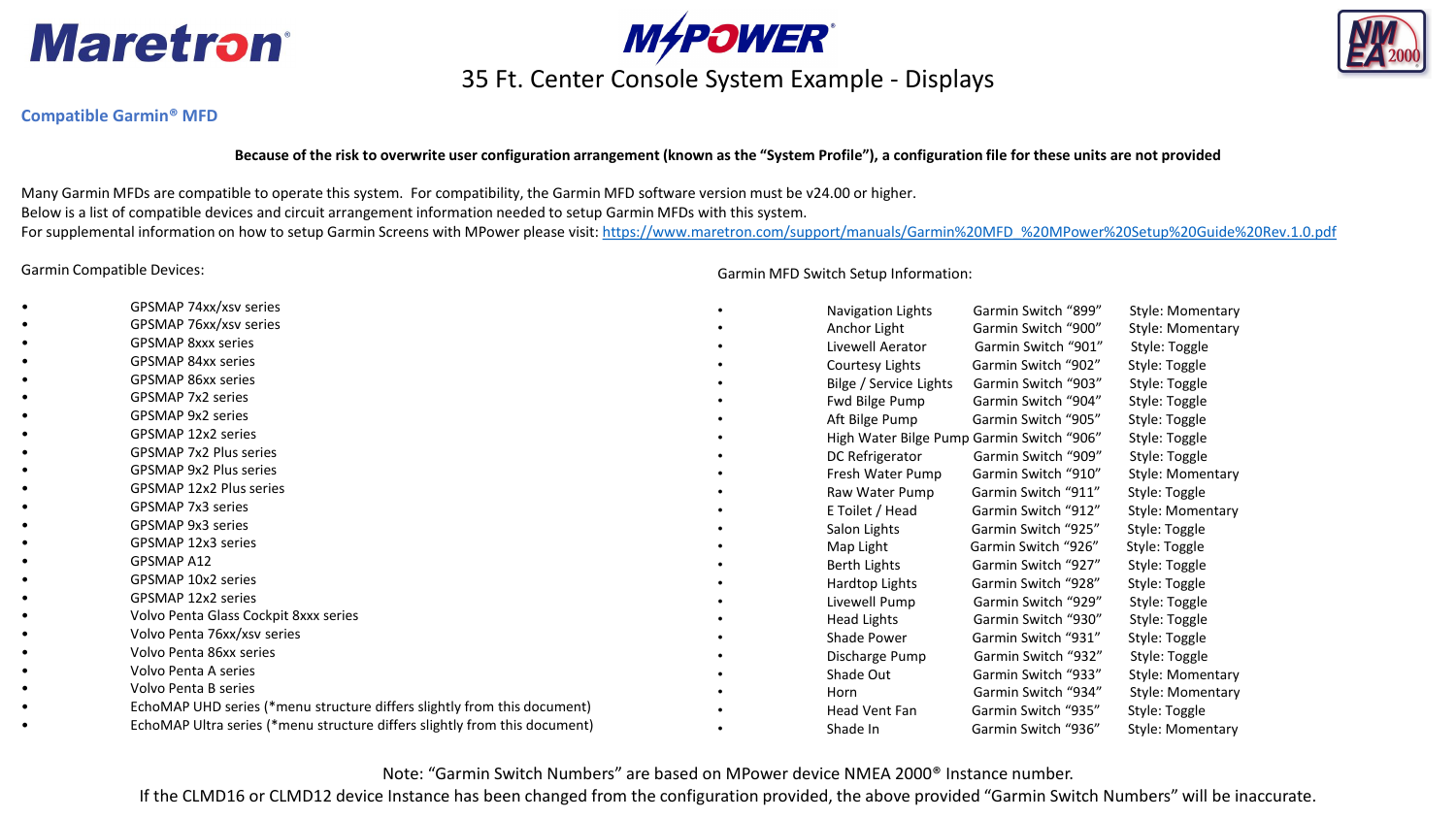



### 35 Ft. Center Console System Example - Displays



### **Compatible Garmin® MFD**

#### **Because of the risk to overwrite user configuration arrangement (known as the "System Profile"), a configuration file for these units are not provided**

Many Garmin MFDs are compatible to operate this system. For compatibility, the Garmin MFD software version must be v24.00 or higher. Below is a list of compatible devices and circuit arrangement information needed to setup Garmin MFDs with this system. For supplemental information on how to setup Garmin Screens with MPower please visit: [https://www.maretron.com/support/manuals/Garmin%20MFD\\_%20MPower%20Setup%20Guide%20Rev.1.0.pdf](https://www.maretron.com/support/manuals/Garmin%20MFD_%20MPower%20Setup%20Guide%20Rev.1.0.pdf)

Garmin Compatible Devices:

- GPSMAP 74xx/xsv series
- GPSMAP 76xx/xsv series
- GPSMAP 8xxx series
- GPSMAP 84xx series
- GPSMAP 86xx series
- GPSMAP 7x2 series
- GPSMAP 9x2 series
- GPSMAP 12x2 series
- GPSMAP 7x2 Plus series
- GPSMAP 9x2 Plus series
- GPSMAP 12x2 Plus series
- GPSMAP 7x3 series
- GPSMAP 9x3 series
- GPSMAP 12x3 series
- GPSMAP A12
- GPSMAP 10x2 series
- GPSMAP 12x2 series
- Volvo Penta Glass Cockpit 8xxx series
- Volvo Penta 76xx/xsv series
- Volvo Penta 86xx series
- Volvo Penta A series
- Volvo Penta B series
- EchoMAP UHD series (\*menu structure differs slightly from this document)
- EchoMAP Ultra series (\*menu structure differs slightly from this document)

Garmin MFD Switch Setup Information:

|           | Navigation Lights                         | Garmin Switch "899" | Style: Momentary |
|-----------|-------------------------------------------|---------------------|------------------|
| ٠         | Anchor Light                              | Garmin Switch "900" | Style: Momentary |
|           | Livewell Aerator                          | Garmin Switch "901" | Style: Toggle    |
|           | Courtesy Lights                           | Garmin Switch "902" | Style: Toggle    |
|           | Bilge / Service Lights                    | Garmin Switch "903" | Style: Toggle    |
|           | Fwd Bilge Pump                            | Garmin Switch "904" | Style: Toggle    |
|           | Aft Bilge Pump                            | Garmin Switch "905" | Style: Toggle    |
|           | High Water Bilge Pump Garmin Switch "906" |                     | Style: Toggle    |
|           | DC Refrigerator                           | Garmin Switch "909" | Style: Toggle    |
|           | Fresh Water Pump                          | Garmin Switch "910" | Style: Momentary |
| $\bullet$ | Raw Water Pump                            | Garmin Switch "911" | Style: Toggle    |
|           | E Toilet / Head                           | Garmin Switch "912" | Style: Momentary |
| ٠         | Salon Lights                              | Garmin Switch "925" | Style: Toggle    |
|           | Map Light                                 | Garmin Switch "926" | Style: Toggle    |
|           | <b>Berth Lights</b>                       | Garmin Switch "927" | Style: Toggle    |
|           | Hardtop Lights                            | Garmin Switch "928" | Style: Toggle    |
|           | Livewell Pump                             | Garmin Switch "929" | Style: Toggle    |
|           | <b>Head Lights</b>                        | Garmin Switch "930" | Style: Toggle    |
|           | Shade Power                               | Garmin Switch "931" | Style: Toggle    |
|           | Discharge Pump                            | Garmin Switch "932" | Style: Toggle    |
|           | Shade Out                                 | Garmin Switch "933" | Style: Momentary |
| ٠         | Horn                                      | Garmin Switch "934" | Style: Momentary |
|           | Head Vent Fan                             | Garmin Switch "935" | Style: Toggle    |
|           | Shade In                                  | Garmin Switch "936" | Style: Momentary |

Note: "Garmin Switch Numbers" are based on MPower device NMEA 2000® Instance number.

If the CLMD16 or CLMD12 device Instance has been changed from the configuration provided, the above provided "Garmin Switch Numbers" will be inaccurate.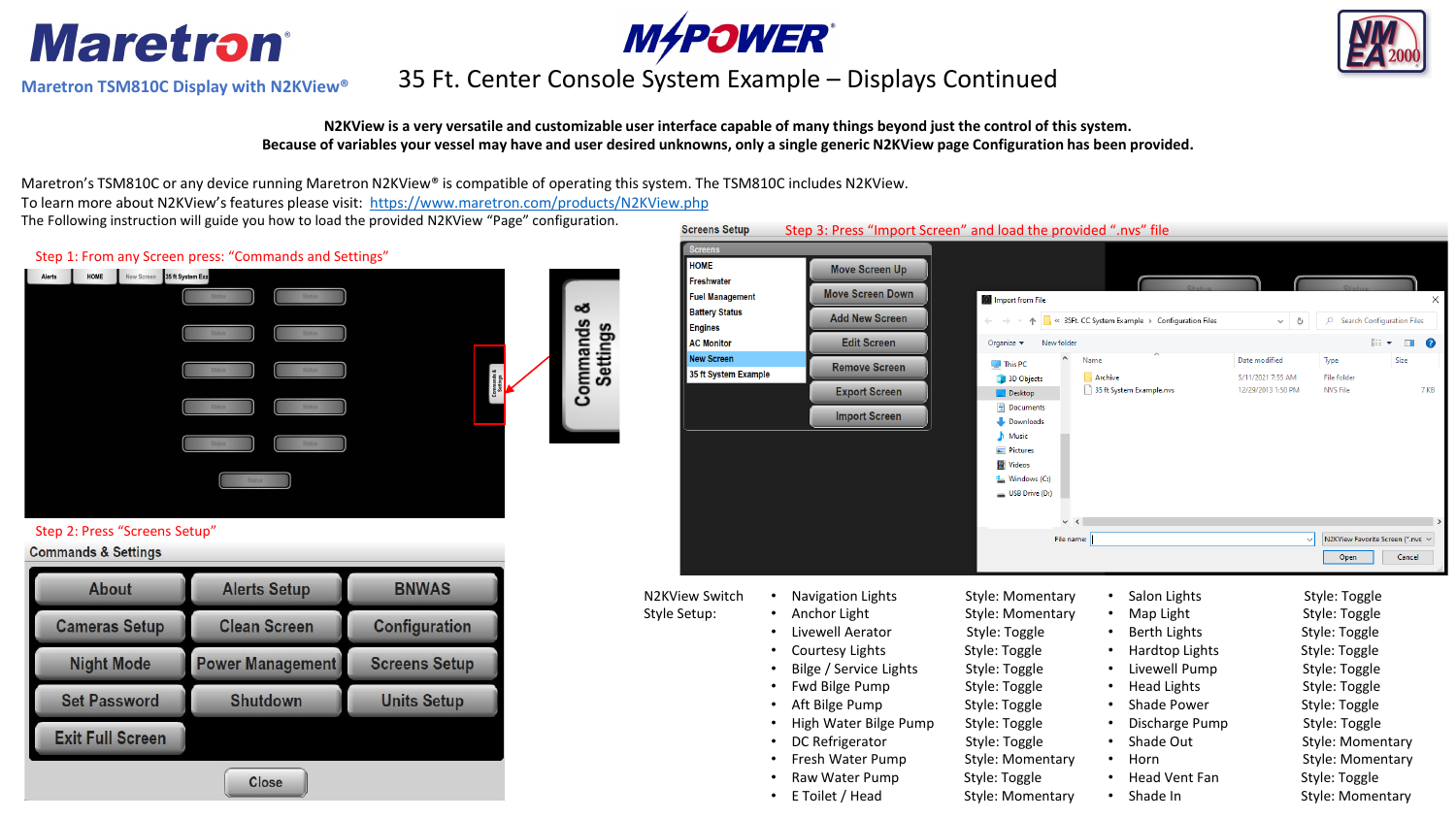

**Maretron TSM810C Display with N2KView®**





# **M&POWER**<br>35 Ft. Center Console System Example – Displays Continued

### **N2KView is a very versatile and customizable user interface capable of many things beyond just the control of this system. Because of variables your vessel may have and user desired unknowns, only a single generic N2KView page Configuration has been provided.**

**Screens Setup** 

Maretron's TSM810C or any device running Maretron N2KView® is compatible of operating this system. The TSM810C includes N2KView. To learn more about N2KView's features please visit: <https://www.maretron.com/products/N2KView.php>

The Following instruction will guide you how to load the provided N2KView "Page" configuration.



### Step 2: Press "Screens Setup"

### **Commands & Settings**

| <b>Alerts Setup</b>     | <b>BNWAS</b>         |  |  |  |  |
|-------------------------|----------------------|--|--|--|--|
| <b>Clean Screen</b>     | <b>Configuration</b> |  |  |  |  |
| <b>Power Management</b> | <b>Screens Setup</b> |  |  |  |  |
| <b>Shutdown</b>         | <b>Units Setup</b>   |  |  |  |  |
|                         |                      |  |  |  |  |
|                         |                      |  |  |  |  |

| Screens                                   |           |                                          |                                |                           |                 |                                                 |                                    |                                   |                                   |  |
|-------------------------------------------|-----------|------------------------------------------|--------------------------------|---------------------------|-----------------|-------------------------------------------------|------------------------------------|-----------------------------------|-----------------------------------|--|
| <b>HOME</b><br><b>Freshwater</b>          |           | <b>Move Screen Up</b>                    |                                |                           |                 |                                                 |                                    |                                   |                                   |  |
| <b>Fuel Management</b>                    |           | <b>Move Screen Down</b>                  | Import from File               |                           |                 |                                                 |                                    |                                   | ×                                 |  |
| <b>Battery Status</b><br><b>Engines</b>   |           | <b>Add New Screen</b>                    |                                |                           |                 | « 35Ft. CC System Example > Configuration Files | $\checkmark$<br>Ō                  | $\Omega$                          | <b>Search Configuration Files</b> |  |
| <b>AC Monitor</b>                         |           | <b>Edit Screen</b>                       | Organize $\blacktriangledown$  | New folder                |                 |                                                 |                                    |                                   | <b>BEE</b><br>$\bullet$<br>$\Box$ |  |
| <b>New Screen</b><br>35 ft System Example |           | <b>Remove Screen</b>                     | This PC<br>3D Objects          |                           | Name<br>Archive |                                                 | Date modified<br>5/11/2021 7:55 AM | Type<br><b>File folder</b>        | Size                              |  |
|                                           |           | <b>Export Screen</b>                     | $\Box$ Desktop                 |                           |                 | 35 ft System Example.nvs                        | 12/29/2013 1:50 PM                 | <b>NVS File</b>                   | 7 KB                              |  |
|                                           |           | <b>Import Screen</b>                     | Documents<br>Downloads         |                           |                 |                                                 |                                    |                                   |                                   |  |
|                                           |           |                                          | Music<br>Pictures              |                           |                 |                                                 |                                    |                                   |                                   |  |
|                                           |           |                                          | <b>图 Videos</b>                |                           |                 |                                                 |                                    |                                   |                                   |  |
|                                           |           |                                          | Windows (C:)                   |                           |                 |                                                 |                                    |                                   |                                   |  |
|                                           |           |                                          | USB Drive (D:)                 |                           |                 |                                                 |                                    |                                   |                                   |  |
|                                           |           |                                          |                                | $\checkmark$<br>$\langle$ |                 |                                                 |                                    |                                   |                                   |  |
|                                           |           |                                          |                                | File name:                |                 |                                                 |                                    | N2KView Favorite Screen (*.nvs) ~ |                                   |  |
|                                           |           |                                          |                                |                           |                 |                                                 |                                    | Open                              | Cancel                            |  |
| <b>N2KView Switch</b>                     | $\bullet$ | <b>Navigation Lights</b>                 | Style: Momentary               |                           |                 | Salon Lights                                    |                                    | Style: Toggle                     |                                   |  |
| Style Setup:                              |           | Anchor Light                             | Style: Momentary               |                           |                 | Map Light                                       |                                    | Style: Toggle                     |                                   |  |
|                                           |           | Livewell Aerator                         | Style: Toggle                  |                           |                 | <b>Berth Lights</b>                             |                                    | Style: Toggle                     |                                   |  |
|                                           |           | <b>Courtesy Lights</b>                   | Style: Toggle                  |                           |                 | Hardtop Lights                                  |                                    | Style: Toggle                     |                                   |  |
|                                           |           | Bilge / Service Lights                   | Style: Toggle                  |                           |                 | Livewell Pump                                   |                                    | Style: Toggle                     |                                   |  |
|                                           |           | Fwd Bilge Pump                           | Style: Toggle                  |                           |                 | <b>Head Lights</b>                              |                                    | Style: Toggle                     |                                   |  |
|                                           |           | Aft Bilge Pump                           | Style: Toggle                  |                           |                 | Shade Power                                     |                                    | Style: Toggle                     |                                   |  |
|                                           |           | High Water Bilge Pump<br>DC Refrigerator | Style: Toggle<br>Style: Toggle |                           |                 | Discharge Pump<br>Shade Out                     |                                    | Style: Toggle<br>Style: Momentary |                                   |  |
|                                           |           | Fresh Water Pump                         | Style: Momentary               |                           |                 | Horn                                            |                                    | Style: Momentary                  |                                   |  |
|                                           |           | Raw Water Pump                           | Style: Toggle                  |                           |                 | <b>Head Vent Fan</b>                            |                                    | Style: Toggle                     |                                   |  |
|                                           |           | E Toilet / Head                          | Style: Momentary               |                           |                 | Shade In                                        |                                    | Style: Momentary                  |                                   |  |
|                                           |           |                                          |                                |                           |                 |                                                 |                                    |                                   |                                   |  |

Step 3: Press "Import Screen" and load the provided ".nvs" file